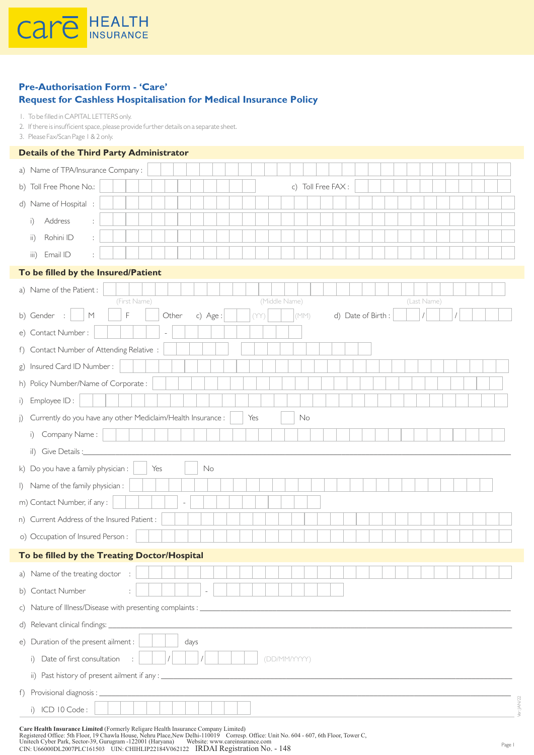

## **Pre-Authorisation Form - 'Care' Request for Cashless Hospitalisation for Medical Insurance Policy**

1. To be filled in CAPITAL LETTERS only.

2. If there is insufficient space, please provide further details on a separate sheet.

3. Please Fax/Scan Page 1 & 2 only.

## **Details of the Third Party Administrator**

| a) Name of TPA/Insurance Company :                                                         |  |  |  |  |  |
|--------------------------------------------------------------------------------------------|--|--|--|--|--|
| b) Toll Free Phone No.:<br>c) Toll Free FAX:                                               |  |  |  |  |  |
| d) Name of Hospital :                                                                      |  |  |  |  |  |
| Address<br>i)                                                                              |  |  |  |  |  |
| Rohini ID<br>$\mathsf{ii}$<br>÷                                                            |  |  |  |  |  |
| Email ID<br>iii)                                                                           |  |  |  |  |  |
| To be filled by the Insured/Patient                                                        |  |  |  |  |  |
| a) Name of the Patient :                                                                   |  |  |  |  |  |
| (Middle Name)<br>(First Name)<br>(Last Name)                                               |  |  |  |  |  |
| $\mathsf F$<br>d) Date of Birth :<br>b) Gender :<br>M<br>c) Age :<br>Other<br>(MM)<br>(YY) |  |  |  |  |  |
| e) Contact Number :<br>$\omega$                                                            |  |  |  |  |  |
| f) Contact Number of Attending Relative :                                                  |  |  |  |  |  |
| g) Insured Card ID Number :                                                                |  |  |  |  |  |
| h) Policy Number/Name of Corporate :                                                       |  |  |  |  |  |
| i) Employee ID:                                                                            |  |  |  |  |  |
| j) Currently do you have any other Mediclaim/Health Insurance :<br>No<br>Yes               |  |  |  |  |  |
| Company Name:<br>i)                                                                        |  |  |  |  |  |
| Give Details :__<br>$\mathsf{il}$ )                                                        |  |  |  |  |  |
| k) Do you have a family physician :<br>Yes<br>No                                           |  |  |  |  |  |
| I) Name of the family physician :                                                          |  |  |  |  |  |
| m) Contact Number, if any :                                                                |  |  |  |  |  |
| n) Current Address of the Insured Patient :                                                |  |  |  |  |  |
| o) Occupation of Insured Person :                                                          |  |  |  |  |  |
| To be filled by the Treating Doctor/Hospital                                               |  |  |  |  |  |
| a) Name of the treating doctor                                                             |  |  |  |  |  |
| b) Contact Number                                                                          |  |  |  |  |  |
| c) Nature of Illness/Disease with presenting complaints : ____                             |  |  |  |  |  |
|                                                                                            |  |  |  |  |  |
| e) Duration of the present ailment :<br>days                                               |  |  |  |  |  |
| Date of first consultation<br>(DD/MM/YYYY)<br>i)                                           |  |  |  |  |  |
| $\dddot{\mathbf{i}}$                                                                       |  |  |  |  |  |
|                                                                                            |  |  |  |  |  |
| JAN/22<br>ICD 10 Code:<br>i)                                                               |  |  |  |  |  |
| Care Health Insurance Limited (Formerly Religare Health Insurance Company Limited)         |  |  |  |  |  |

Care Health Insurance Limited (Formerly Religare Health Insurance Company Limited)<br>Registered Office: 5th Floor, 19 Chawla House, Nehru Place,New Delhi-110019 Corresp. Office: Unit No. 604 - 607, 6th Floor, Tower C,<br>Unitec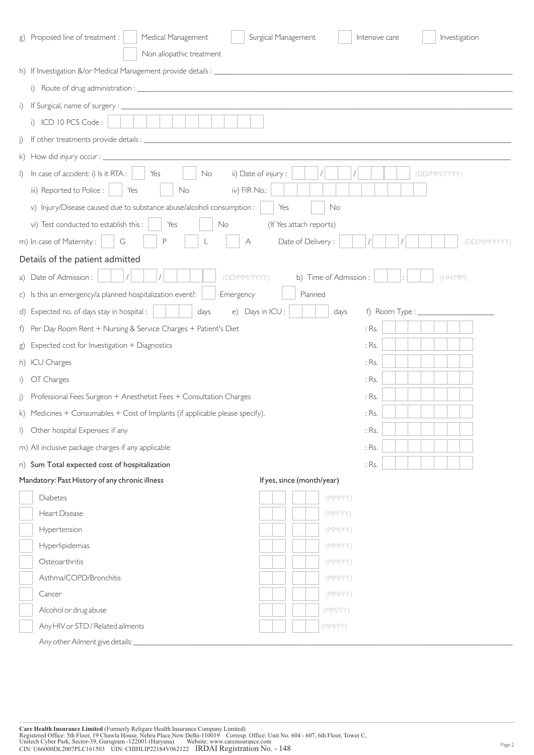| Proposed line of treatment :<br>Medical Management<br>Surgical Management<br>g)                    | Intensive care   | Investigation |
|----------------------------------------------------------------------------------------------------|------------------|---------------|
| Non allopathic treatment                                                                           |                  |               |
|                                                                                                    |                  |               |
|                                                                                                    |                  |               |
| $\left  \cdot \right\rangle$                                                                       |                  |               |
| ICD 10 PCS Code:<br>i)                                                                             |                  |               |
| $\mathcal{I}$                                                                                      |                  |               |
| $\mathsf{k}$                                                                                       |                  |               |
| In case of accident: i) Is it RTA :<br>Yes<br>ii) Date of injury :<br>No<br>$\left  \right\rangle$ |                  | (DD/MM/YYYY)  |
| iii) Reported to Police :<br>iv) FIR No.:<br>Yes<br>No                                             |                  |               |
| v) Injury/Disease caused due to substance abuse/alcohol consumption :<br>Yes<br>No                 |                  |               |
| vi) Test conducted to establish this :<br>(If Yes attach reports)<br>Yes<br>No                     |                  |               |
| m) In case of Maternity:<br>Date of Delivery:<br>G<br>P<br>А                                       |                  | (DD/MM/YYYY)  |
| Details of the patient admitted                                                                    |                  |               |
| a) Date of Admission :<br>b) Time of Admission :<br>(DD/MM/YYYY)                                   |                  | (HH:MM)       |
| c) Is this an emergency/a planned hospitalization event?:<br>Emergency<br>Planned                  |                  |               |
| e) Days in ICU :<br>d) Expected no. of days stay in hospital :<br>days<br>days                     | f) Room Type : _ |               |
| Per Day Room Rent + Nursing & Service Charges + Patient's Diet<br>$\ddagger$                       | : Rs.            |               |
| Expected cost for Investigation + Diagnostics<br>g)                                                | : Rs.            |               |
| h) ICU Charges                                                                                     | : Rs.            |               |
| OT Charges<br>$\left  \right $                                                                     | : Rs.            |               |
| Professional Fees Surgeon + Anesthetist Fees + Consultation Charges<br>$\big)$                     | : Rs.            |               |
| k) Medicines + Consumables + Cost of Implants (if applicable please specify).                      | : Rs.            |               |
| Other hospital Expenses: if any<br>$\left  \right\rangle$                                          | : Rs.            |               |
| m) All inclusive package charges if any applicable                                                 | : Rs.            |               |
| n) Sum Total expected cost of hospitalization                                                      | : Rs.            |               |
| Mandatory: Past History of any chronic illness<br>If yes, since (month/year)                       |                  |               |
| <b>Diabetes</b><br>(MM/YY)                                                                         |                  |               |
| Heart Disease<br>(MM/YY)                                                                           |                  |               |
| Hypertension<br>(MM/YY)                                                                            |                  |               |
| Hyperlipidemias<br>(MM/YY)                                                                         |                  |               |
| Osteoarthritis<br>(MM/YY)                                                                          |                  |               |
| Asthma/COPD/Bronchitis<br>(MM/YY)                                                                  |                  |               |
| Cancer<br>(MM/YY)                                                                                  |                  |               |
| Alcohol or drug abuse<br>(MM/YY)                                                                   |                  |               |
| Any HIV or STD / Related ailments<br>(MM/YY)<br>Any other Ailment give details:                    |                  |               |